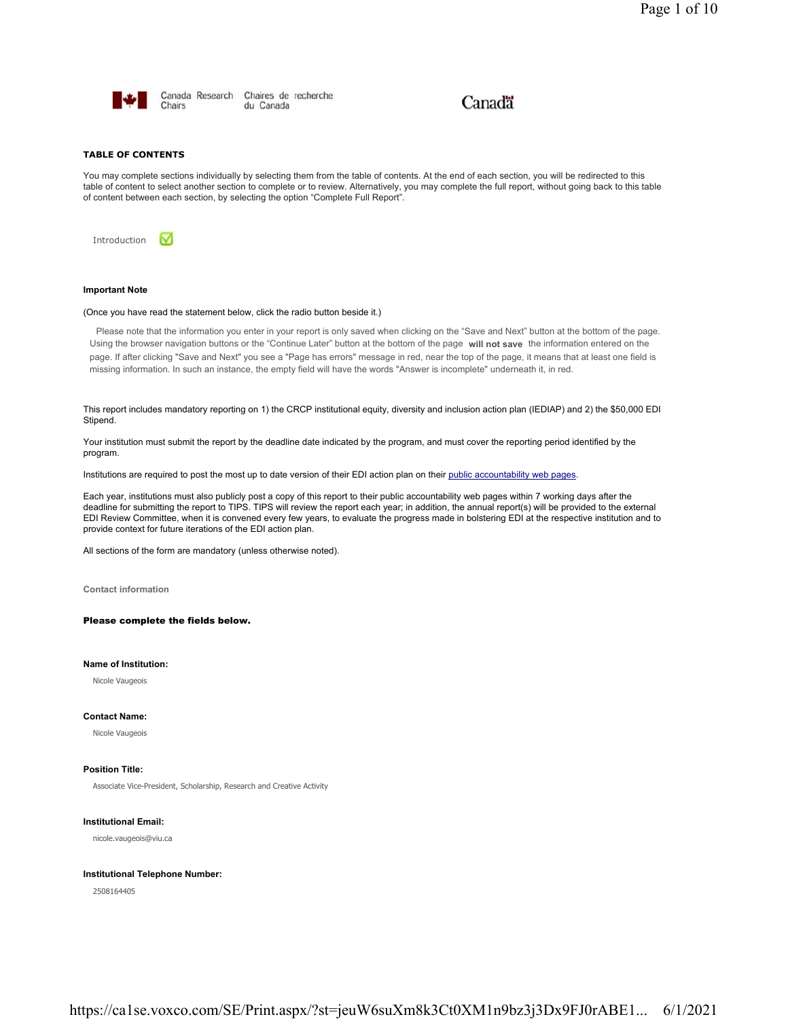

Canada Research Chaires de recherche Chairs du Canada

# Canadä

# **TABLE OF CONTENTS**

You may complete sections individually by selecting them from the table of contents. At the end of each section, you will be redirected to this table of content to select another section to complete or to review. Alternatively, you may complete the full report, without going back to this table of content between each section, by selecting the option "Complete Full Report".

Introduction М

# **Important Note**

# (Once you have read the statement below, click the radio button beside it.)

Please note that the information you enter in your report is only saved when clicking on the "Save and Next" button at the bottom of the page. Using the browser navigation buttons or the "Continue Later" button at the bottom of the page **will not save** the information entered on the page. If after clicking "Save and Next" you see a "Page has errors" message in red, near the top of the page, it means that at least one field is missing information. In such an instance, the empty field will have the words "Answer is incomplete" underneath it, in red.

This report includes mandatory reporting on 1) the CRCP institutional equity, diversity and inclusion action plan (IEDIAP) and 2) the \$50,000 EDI Stipend.

Your institution must submit the report by the deadline date indicated by the program, and must cover the reporting period identified by the program.

Institutions are required to post the most up to date version of their EDI action plan on their public accountability web pages.

Each year, institutions must also publicly post a copy of this report to their public accountability web pages within 7 working days after the deadline for submitting the report to TIPS. TIPS will review the report each year; in addition, the annual report(s) will be provided to the external EDI Review Committee, when it is convened every few years, to evaluate the progress made in bolstering EDI at the respective institution and to provide context for future iterations of the EDI action plan.

All sections of the form are mandatory (unless otherwise noted).

**Contact information**

Please complete the fields below.

# **Name of Institution:**

Nicole Vaugeois

# **Contact Name:**

Nicole Vaugeois

# **Position Title:**

Associate Vice-President, Scholarship, Research and Creative Activity

**Institutional Email:**

nicole.vaugeois@viu.ca

### **Institutional Telephone Number:**

2508164405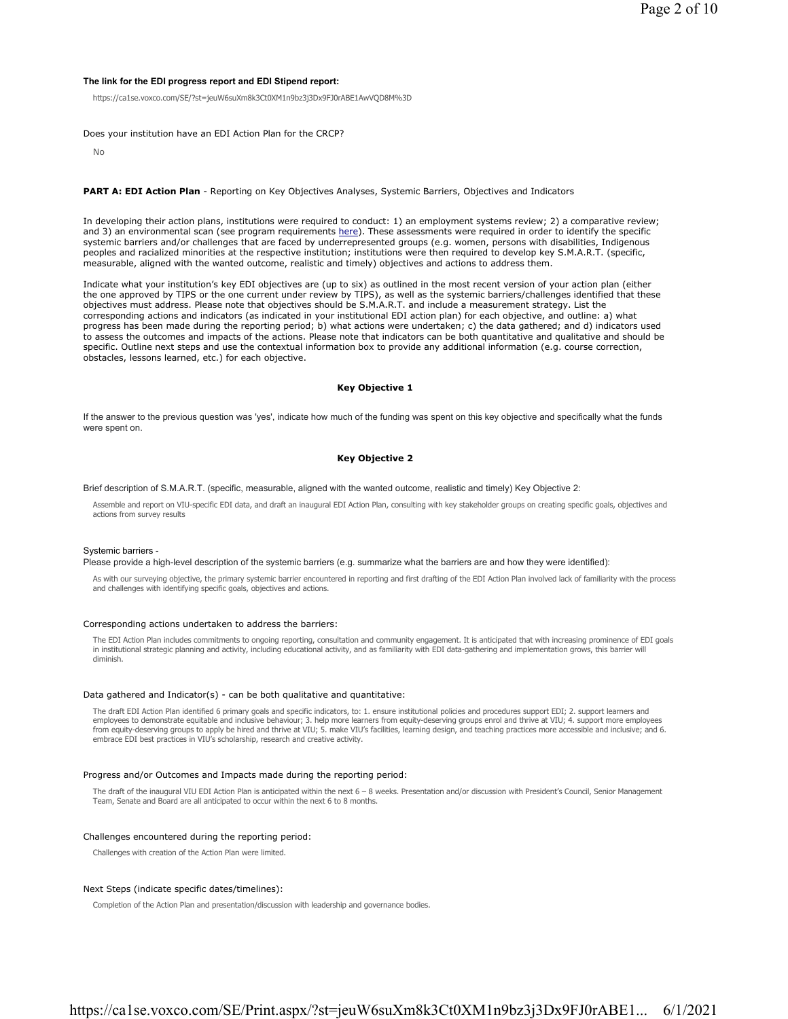# **The link for the EDI progress report and EDI Stipend report:**

https://ca1se.voxco.com/SE/?st=jeuW6suXm8k3Ct0XM1n9bz3j3Dx9FJ0rABE1AwVQD8M%3D

Does your institution have an EDI Action Plan for the CRCP?

No

### **PART A: EDI Action Plan** - Reporting on Key Objectives Analyses, Systemic Barriers, Objectives and Indicators

In developing their action plans, institutions were required to conduct: 1) an employment systems review; 2) a comparative review; and 3) an environmental scan (see program requirements here). These assessments were required in order to identify the specific systemic barriers and/or challenges that are faced by underrepresented groups (e.g. women, persons with disabilities, Indigenous peoples and racialized minorities at the respective institution; institutions were then required to develop key S.M.A.R.T. (specific, measurable, aligned with the wanted outcome, realistic and timely) objectives and actions to address them.

Indicate what your institution's key EDI objectives are (up to six) as outlined in the most recent version of your action plan (either the one approved by TIPS or the one current under review by TIPS), as well as the systemic barriers/challenges identified that these objectives must address. Please note that objectives should be S.M.A.R.T. and include a measurement strategy. List the corresponding actions and indicators (as indicated in your institutional EDI action plan) for each objective, and outline: a) what progress has been made during the reporting period; b) what actions were undertaken; c) the data gathered; and d) indicators used to assess the outcomes and impacts of the actions. Please note that indicators can be both quantitative and qualitative and should be specific. Outline next steps and use the contextual information box to provide any additional information (e.g. course correction, obstacles, lessons learned, etc.) for each objective.

# **Key Objective 1**

If the answer to the previous question was 'yes', indicate how much of the funding was spent on this key objective and specifically what the funds were spent on.

# **Key Objective 2**

Brief description of S.M.A.R.T. (specific, measurable, aligned with the wanted outcome, realistic and timely) Key Objective 2:

Assemble and report on VIU-specific EDI data, and draft an inaugural EDI Action Plan, consulting with key stakeholder groups on creating specific goals, objectives and actions from survey results

### Systemic barriers -

Please provide a high-level description of the systemic barriers (e.g. summarize what the barriers are and how they were identified):

As with our surveying objective, the primary systemic barrier encountered in reporting and first drafting of the EDI Action Plan involved lack of familiarity with the process and challenges with identifying specific goals, objectives and actions.

### Corresponding actions undertaken to address the barriers:

The EDI Action Plan includes commitments to ongoing reporting, consultation and community engagement. It is anticipated that with increasing prominence of EDI goals<br>in institutional strategic planning and activity, includi diminish.

#### Data gathered and Indicator(s) - can be both qualitative and quantitative:

The draft EDI Action Plan identified 6 primary goals and specific indicators, to: 1. ensure institutional policies and procedures support EDI; 2. support learners and employees to demonstrate equitable and inclusive behaviour; 3. help more learners from equity-deserving groups enrol and thrive at VIU; 4. support more employees<br>from equity-deserving groups to apply be hired and thrive at embrace EDI best practices in VIU's scholarship, research and creative activity.

# Progress and/or Outcomes and Impacts made during the reporting period:

The draft of the inaugural VIU EDI Action Plan is anticipated within the next 6 - 8 weeks. Presentation and/or discussion with President's Council, Senior Management Team, Senate and Board are all anticipated to occur within the next 6 to 8 months.

#### Challenges encountered during the reporting period:

Challenges with creation of the Action Plan were limited.

### Next Steps (indicate specific dates/timelines):

Completion of the Action Plan and presentation/discussion with leadership and governance bodies.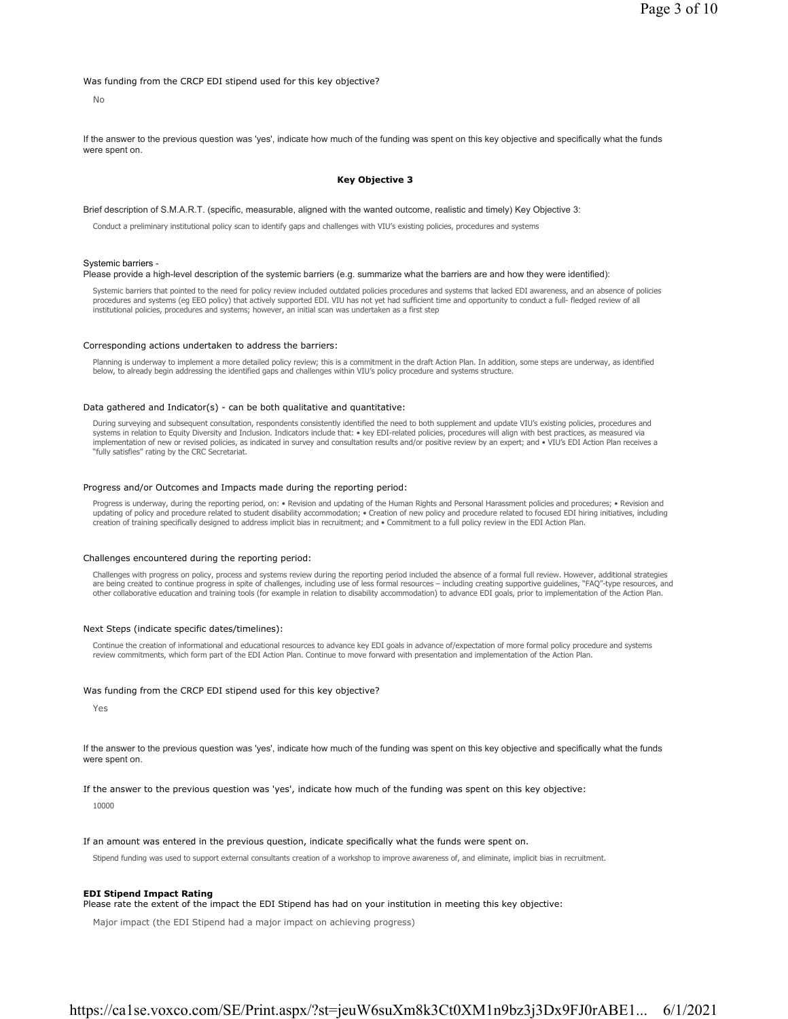Was funding from the CRCP EDI stipend used for this key objective?

No

If the answer to the previous question was 'yes', indicate how much of the funding was spent on this key objective and specifically what the funds were spent on.

### **Key Objective 3**

# Brief description of S.M.A.R.T. (specific, measurable, aligned with the wanted outcome, realistic and timely) Key Objective 3:

Conduct a preliminary institutional policy scan to identify gaps and challenges with VIU's existing policies, procedures and systems

#### Systemic barriers -

### Please provide a high-level description of the systemic barriers (e.g. summarize what the barriers are and how they were identified):

Systemic barriers that pointed to the need for policy review included outdated policies procedures and systems that lacked EDI awareness, and an absence of policies procedures and systems (eg EEO policy) that actively supported EDI. VIU has not yet had sufficient time and opportunity to conduct a full- fledged review of all institutional policies, procedures and systems; however, an initial scan was undertaken as a first step

### Corresponding actions undertaken to address the barriers:

Planning is underway to implement a more detailed policy review; this is a commitment in the draft Action Plan. In addition, some steps are underway, as identified below, to already begin addressing the identified gaps and challenges within VIU's policy procedure and systems structure.

#### Data gathered and Indicator(s) - can be both qualitative and quantitative:

During surveying and subsequent consultation, respondents consistently identified the need to both supplement and update VIU's existing policies, procedures and systems in relation to Equity Diversity and Inclusion. Indicators include that: • key EDI-related policies, procedures will align with best practices, as measured via<br>implementation of new or revised policies, as indicate "fully satisfies" rating by the CRC Secretariat.

### Progress and/or Outcomes and Impacts made during the reporting period:

Progress is underway, during the reporting period, on: • Revision and updating of the Human Rights and Personal Harassment policies and procedures; • Revision and updating of policy and procedure related to student disability accommodation; • Creation of new policy and procedure related to focused EDI hiring initiatives, including creation of training specifically designed to address implicit bias in recruitment; and • Commitment to a full policy review in the EDI Action Plan.

### Challenges encountered during the reporting period:

Challenges with progress on policy, process and systems review during the reporting period included the absence of a formal full review. However, additional strategies are being created to continue progress in spite of challenges, including use of less formal resources – including creating supportive guidelines, "FAQ"-type resources, and other collaborative education and training tools (for example in relation to disability accommodation) to advance EDI goals, prior to implementation of the Action Plan.

### Next Steps (indicate specific dates/timelines):

Continue the creation of informational and educational resources to advance key EDI goals in advance of/expectation of more formal policy procedure and systems review commitments, which form part of the EDI Action Plan. Continue to move forward with presentation and implementation of the Action Plan.

### Was funding from the CRCP EDI stipend used for this key objective?

Yes

If the answer to the previous question was 'yes', indicate how much of the funding was spent on this key objective and specifically what the funds were spent on.

If the answer to the previous question was 'yes', indicate how much of the funding was spent on this key objective:

10000

### If an amount was entered in the previous question, indicate specifically what the funds were spent on.

Stipend funding was used to support external consultants creation of a workshop to improve awareness of, and eliminate, implicit bias in recruitment.

### **EDI Stipend Impact Rating**

Please rate the extent of the impact the EDI Stipend has had on your institution in meeting this key objective:

Major impact (the EDI Stipend had a major impact on achieving progress)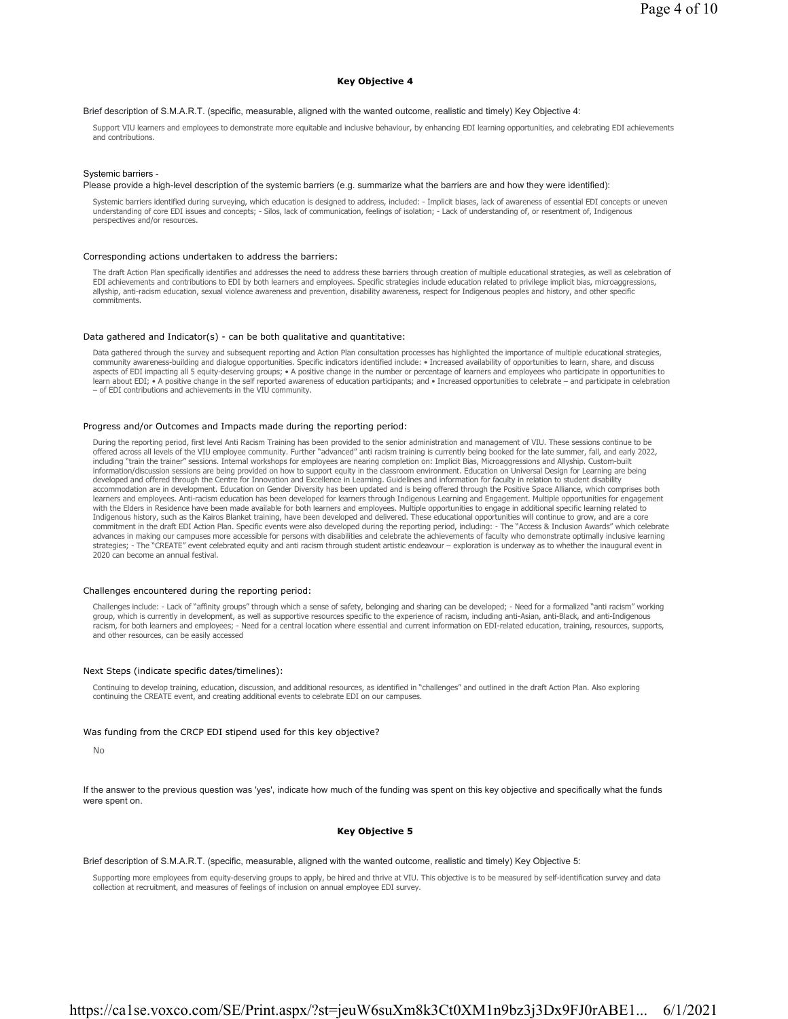### **Key Objective 4**

# Brief description of S.M.A.R.T. (specific, measurable, aligned with the wanted outcome, realistic and timely) Key Objective 4:

Support VIU learners and employees to demonstrate more equitable and inclusive behaviour, by enhancing EDI learning opportunities, and celebrating EDI achievements and contributions.

### Systemic barriers -

#### Please provide a high-level description of the systemic barriers (e.g. summarize what the barriers are and how they were identified):

Systemic barriers identified during surveying, which education is designed to address, included: - Implicit biases, lack of awareness of essential EDI concepts or uneven understanding of core EDI issues and concepts; - Silos, lack of communication, feelings of isolation; - Lack of understanding of, or resentment of, Indigenous perspectives and/or resources.

#### Corresponding actions undertaken to address the barriers:

The draft Action Plan specifically identifies and addresses the need to address these barriers through creation of multiple educational strategies, as well as celebration of EDI achievements and contributions to EDI by both learners and employees. Specific strategies include education related to privilege implicit bias, microaggressions, allyship, anti-racism education, sexual violence awareness and prevention, disability awareness, respect for Indigenous peoples and history, and other specific commitments.

#### Data gathered and Indicator(s) - can be both qualitative and quantitative:

Data gathered through the survey and subsequent reporting and Action Plan consultation processes has highlighted the importance of multiple educational strategies, community awareness-building and dialogue opportunities. Specific indicators identified include: • Increased availability of opportunities to learn, share, and discuss aspects of EDI impacting all 5 equity-deserving groups; • A positive change in the number or percentage of learners and employees who participate in opportunities to learn about EDI; • A positive change in the self reported awareness of education participants; and • Increased opportunities to celebrate – and participate in celebration – of EDI contributions and achievements in the VIU community.

#### Progress and/or Outcomes and Impacts made during the reporting period:

During the reporting period, first level Anti Racism Training has been provided to the senior administration and management of VIU. These sessions continue to be<br>offered across all levels of the VIU employee community. Fur including "train the trainer" sessions. Internal workshops for employees are nearing completion on: Implicit Bias, Microaggressions and Allyship. Custom-built information/discussion sessions are being provided on how to support equity in the classroom environment. Education on Universal Design for Learning are being<br>developed and offered through the Centre for Innovation and Exc accommodation are in development. Education on Gender Diversity has been updated and is being offered through the Positive Space Alliance, which comprises both learners and employees. Anti-racism education has been developed for learners through Indigenous Learning and Engagement. Multiple opportunities for engagement with the Elders in Residence have been made available for both learners and employees. Multiple opportunities to engage in additional specific learning related to Indigenous history, such as the Kairos Blanket training, have been developed and delivered. These educational opportunities will continue to grow, and are a core commitment in the draft EDI Action Plan. Specific events were also developed during the reporting period, including: - The "Access & Inclusion Awards" which celebrate advances in making our campuses more accessible for persons with disabilities and celebrate the achievements of faculty who demonstrate optimally inclusive learning strategies; - The "CREATE" event celebrated equity and anti racism through student artistic endeavour – exploration is underway as to whether the inaugural event in 2020 can become an annual festival.

### Challenges encountered during the reporting period:

Challenges include: - Lack of "affinity groups" through which a sense of safety, belonging and sharing can be developed; - Need for a formalized "anti racism" working group, which is currently in development, as well as supportive resources specific to the experience of racism, including anti-Asian, anti-Black, and anti-Indigenous racism, for both learners and employees; - Need for a central location where essential and current information on EDI-related education, training, resources, supports, and other resources, can be easily accessed

### Next Steps (indicate specific dates/timelines):

Continuing to develop training, education, discussion, and additional resources, as identified in "challenges" and outlined in the draft Action Plan. Also exploring continuing the CREATE event, and creating additional events to celebrate EDI on our campuses.

### Was funding from the CRCP EDI stipend used for this key objective?

If the answer to the previous question was 'yes', indicate how much of the funding was spent on this key objective and specifically what the funds were spent on.

#### **Key Objective 5**

Brief description of S.M.A.R.T. (specific, measurable, aligned with the wanted outcome, realistic and timely) Key Objective 5:

Supporting more employees from equity-deserving groups to apply, be hired and thrive at VIU. This objective is to be measured by self-identification survey and data<br>collection at recruitment, and measures of feelings of in

No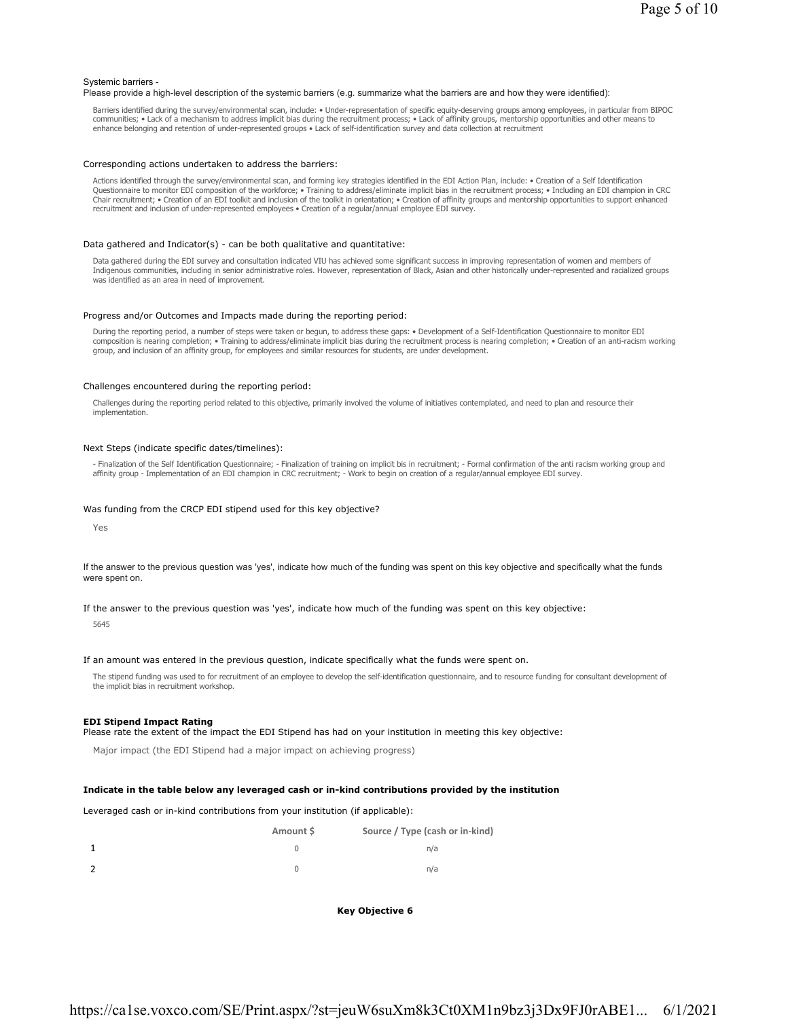### Systemic barriers -

Please provide a high-level description of the systemic barriers (e.g. summarize what the barriers are and how they were identified):

Barriers identified during the survey/environmental scan, include: • Under-representation of specific equity-deserving groups among employees, in particular from BIPOC communities; • Lack of a mechanism to address implicit bias during the recruitment process; • Lack of affinity groups, mentorship opportunities and other means to enhance belonging and retention of under-represented groups • Lack of self-identification survey and data collection at recruitment

#### Corresponding actions undertaken to address the barriers:

Actions identified through the survey/environmental scan, and forming key strategies identified in the EDI Action Plan, include: • Creation of a Self Identification Questionnaire to monitor EDI composition of the workforce; • Training to address/eliminate implicit bias in the recruitment process; • Including an EDI champion in CRC Chair recruitment; • Creation of an EDI toolkit and inclusion of the toolkit in orientation; • Creation of affinity groups and mentorship opportunities to support enhanced recruitment and inclusion of under-represented employees • Creation of a regular/annual employee EDI survey.

### Data gathered and Indicator(s) - can be both qualitative and quantitative:

Data gathered during the EDI survey and consultation indicated VIU has achieved some significant success in improving representation of women and members of Indigenous communities, including in senior administrative roles. However, representation of Black, Asian and other historically under-represented and racialized groups was identified as an area in need of improvement.

### Progress and/or Outcomes and Impacts made during the reporting period:

During the reporting period, a number of steps were taken or begun, to address these gaps: • Development of a Self-Identification Questionnaire to monitor EDI composition is nearing completion; • Training to address/eliminate implicit bias during the recruitment process is nearing completion; • Creation of an anti-racism working<br>group, and inclusion of an affinity group, for emp

### Challenges encountered during the reporting period:

Challenges during the reporting period related to this objective, primarily involved the volume of initiatives contemplated, and need to plan and resource their implementation.

### Next Steps (indicate specific dates/timelines):

- Finalization of the Self Identification Questionnaire; - Finalization of training on implicit bis in recruitment; - Formal confirmation of the anti racism working group and affinity group - Implementation of an EDI champion in CRC recruitment; - Work to begin on creation of a regular/annual employee EDI survey.

# Was funding from the CRCP EDI stipend used for this key objective?

Yes

If the answer to the previous question was 'yes', indicate how much of the funding was spent on this key objective and specifically what the funds were spent on.

If the answer to the previous question was 'yes', indicate how much of the funding was spent on this key objective:

5645

#### If an amount was entered in the previous question, indicate specifically what the funds were spent on.

The stipend funding was used to for recruitment of an employee to develop the self-identification questionnaire, and to resource funding for consultant development of the implicit bias in recruitment workshop.

### **EDI Stipend Impact Rating**

Please rate the extent of the impact the EDI Stipend has had on your institution in meeting this key objective:

Major impact (the EDI Stipend had a major impact on achieving progress)

## **Indicate in the table below any leveraged cash or in-kind contributions provided by the institution**

Leveraged cash or in-kind contributions from your institution (if applicable):

| Amount S | Source / Type (cash or in-kind) |
|----------|---------------------------------|
|          | n/a                             |
|          | n/a                             |

**Key Objective 6**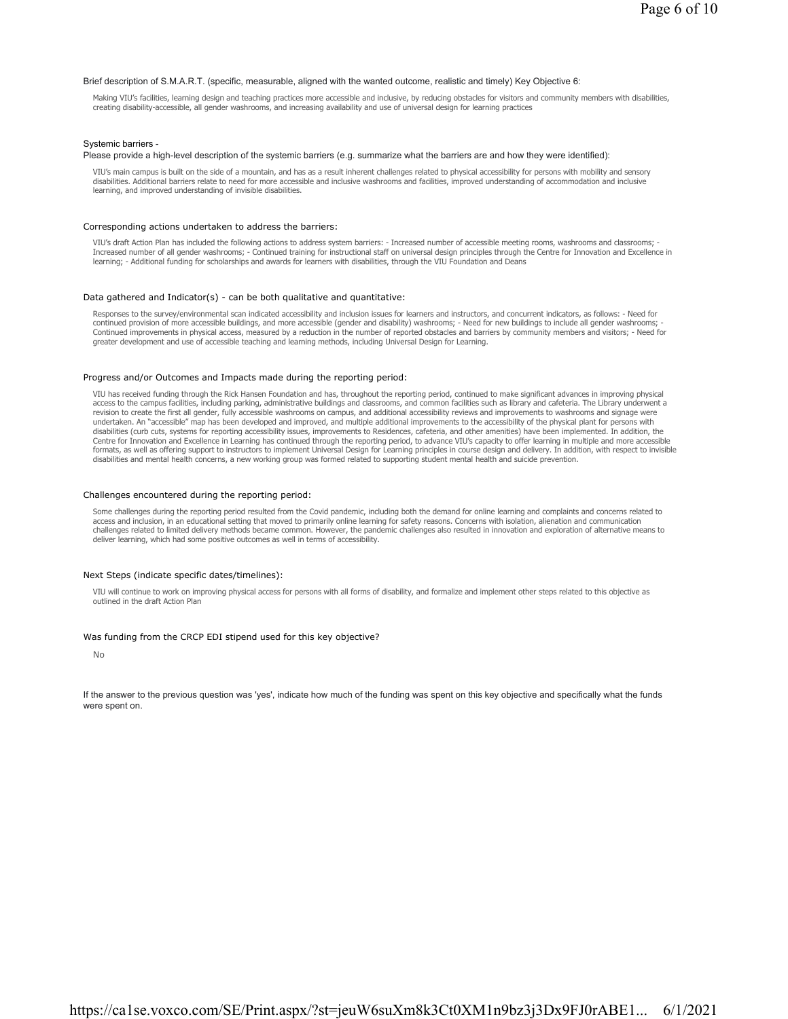### Brief description of S.M.A.R.T. (specific, measurable, aligned with the wanted outcome, realistic and timely) Key Objective 6:

Making VIU's facilities, learning design and teaching practices more accessible and inclusive, by reducing obstacles for visitors and community members with disabilities, creating disability-accessible, all gender washrooms, and increasing availability and use of universal design for learning practices

### Systemic barriers -

### Please provide a high-level description of the systemic barriers (e.g. summarize what the barriers are and how they were identified):

VIU's main campus is built on the side of a mountain, and has as a result inherent challenges related to physical accessibility for persons with mobility and sensory disabilities. Additional barriers relate to need for more accessible and inclusive washrooms and facilities, improved understanding of accommodation and inclusive learning, and improved understanding of invisible disabilities.

### Corresponding actions undertaken to address the barriers:

VIU's draft Action Plan has included the following actions to address system barriers: - Increased number of accessible meeting rooms, washrooms and classrooms; -<br>Increased number of all gender washrooms; - Continued train learning; - Additional funding for scholarships and awards for learners with disabilities, through the VIU Foundation and Deans

### Data gathered and Indicator(s) - can be both qualitative and quantitative:

Responses to the survey/environmental scan indicated accessibility and inclusion issues for learners and instructors, and concurrent indicators, as follows: - Need for continued provision of more accessible buildings, and more accessible (gender and disability) washrooms; - Need for new buildings to include all gender washrooms; -<br>Continued improvements in physical access, measured by a greater development and use of accessible teaching and learning methods, including Universal Design for Learning.

#### Progress and/or Outcomes and Impacts made during the reporting period:

VIU has received funding through the Rick Hansen Foundation and has, throughout the reporting period, continued to make significant advances in improving physical access to the campus facilities, including parking, administrative buildings and classrooms, and common facilities such as library and cafeteria. The Library underwent a revision to create the first all gender, fully accessible washrooms on campus, and additional accessibility reviews and improvements to washrooms and signage were<br>undertaken. An "accessible" map has been developed and impr disabilities (curb cuts, systems for reporting accessibility issues, improvements to Residences, cafeteria, and other amenities) have been implemented. In addition, the Centre for Innovation and Excellence in Learning has continued through the reporting period, to advance VIU's capacity to offer learning in multiple and more accessible formats, as well as offering support to instructors to implement Universal Design for Learning principles in course design and delivery. In addition, with respect to invisible<br>disabilities and mental health concerns, a new

### Challenges encountered during the reporting period:

Some challenges during the reporting period resulted from the Covid pandemic, including both the demand for online learning and complaints and concerns related to access and inclusion, in an educational setting that moved to primarily online learning for safety reasons. Concerns with isolation, alienation and communication challenges related to limited delivery methods became common. However, the pandemic challenges also resulted in innovation and exploration of alternative means to deliver learning, which had some positive outcomes as well in terms of accessibility.

#### Next Steps (indicate specific dates/timelines):

VIU will continue to work on improving physical access for persons with all forms of disability, and formalize and implement other steps related to this objective as outlined in the draft Action Plan

### Was funding from the CRCP EDI stipend used for this key objective?

No

If the answer to the previous question was 'yes', indicate how much of the funding was spent on this key objective and specifically what the funds were spent on.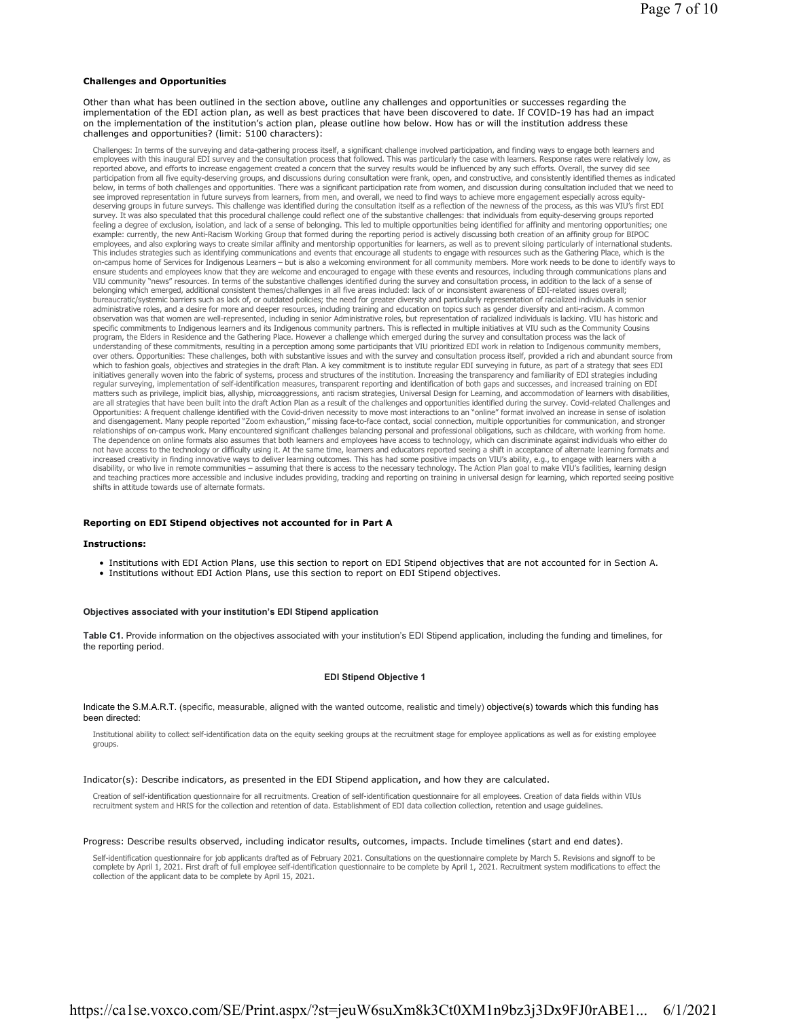### **Challenges and Opportunities**

Other than what has been outlined in the section above, outline any challenges and opportunities or successes regarding the implementation of the EDI action plan, as well as best practices that have been discovered to date. If COVID-19 has had an impact on the implementation of the institution's action plan, please outline how below. How has or will the institution address these challenges and opportunities? (limit: 5100 characters):

Challenges: In terms of the surveying and data-gathering process itself, a significant challenge involved participation, and finding ways to engage both learners and<br>employees with this inaugural EDI survey and the consult reported above, and efforts to increase engagement created a concern that the survey results would be influenced by any such efforts. Overall, the survey did see participation from all five equity-deserving groups, and discussions during consultation were frank, open, and constructive, and consistently identified themes as indicated<br>below, in terms of both challenges and opportunit see improved representation in future surveys from learners, from men, and overall, we need to find ways to achieve more engagement especially across equitydeserving groups in future surveys. This challenge was identified during the consultation itself as a reflection of the newness of the process, as this was VIU's first EDI<br>survey. It was also speculated that this procedura feeling a degree of exclusion, isolation, and lack of a sense of belonging. This led to multiple opportunities being identified for affinity and mentoring opportunities; one example: currently, the new Anti-Racism Working Group that formed during the reporting period is actively discussing both creation of an affinity group for BIPOC employees, and also exploring ways to create similar affinity and mentorship opportunities for learners, as well as to prevent siloing particularly of international students. This includes strategies such as identifying communications and events that encourage all students to engage with resources such as the Gathering Place, which is the<br>on-campus home of Services for Indigenous Learners – but ensure students and employees know that they are welcome and encouraged to engage with these events and resources, including through communications plans and VIU community "news" resources. In terms of the substantive challenges identified during the survey and consultation process, in addition to the lack of a sense of belonging which emerged, additional consistent themes/challenges in all five areas included: lack of or inconsistent awareness of EDI-related issues overall; bureaucratic/systemic barriers such as lack of, or outdated policies; the need for greater diversity and particularly representation of racialized individuals in senior administrative roles, and a desire for more and deeper resources, including training and education on topics such as gender diversity and anti-racism. A common observation was that women are well-represented, including in senior Administrative roles, but representation of racialized individuals is lacking. VIU has historic and specific commitments to Indigenous learners and its Indigenous community partners. This is reflected in multiple initiatives at VIU such as the Community Cousins program, the Elders in Residence and the Gathering Place. However a challenge which emerged during the survey and consultation process was the lack of<br>understanding of these commitments, resulting in a perception among som over others. Opportunities: These challenges, both with substantive issues and with the survey and consultation process itself, provided a rich and abundant source from which to fashion goals, objectives and strategies in the draft Plan. A key commitment is to institute regular EDI surveying in future, as part of a strategy that sees EDI<br>initiatives generally woven into the fabric of syst regular surveying, implementation of self-identification measures, transparent reporting and identification of both gaps and successes, and increased training on EDI matters such as privilege, implicit bias, allyship, microaggressions, anti racism strategies, Universal Design for Learning, and accommodation of learners with disabilities, are all strategies that have been built into the draft Action Plan as a result of the challenges and opportunities identified during the survey. Covid-related Challenges and<br>Opportunities: A frequent challenge identified w and disengagement. Many people reported "Zoom exhaustion," missing face-to-face contact, social connection, multiple opportunities for communication, and stronger relationships of on-campus work. Many encountered significant challenges balancing personal and professional obligations, such as childcare, with working from home. The dependence on online formats also assumes that both learners and employees have access to technology, which can discriminate against individuals who either do not have access to the technology or difficulty using it. At the same time, learners and educators reported seeing a shift in acceptance of alternate learning formats and increased creativity in finding innovative ways to deliver learning outcomes. This has had some positive impacts on VIU's ability, e.g., to engage with learners with a disability, or who live in remote communities – assuming that there is access to the necessary technology. The Action Plan goal to make VIU's facilities, learning design and teaching practices more accessible and inclusive includes providing, tracking and reporting on training in universal design for learning, which reported seeing positive shifts in attitude towards use of alternate formats.

# **Reporting on EDI Stipend objectives not accounted for in Part A**

### **Instructions:**

- Institutions with EDI Action Plans, use this section to report on EDI Stipend objectives that are not accounted for in Section A.
- Institutions without EDI Action Plans, use this section to report on EDI Stipend objectives.

#### **Objectives associated with your institution's EDI Stipend application**

**Table C1.** Provide information on the objectives associated with your institution's EDI Stipend application, including the funding and timelines, for the reporting period.

### **EDI Stipend Objective 1**

Indicate the S.M.A.R.T. (specific, measurable, aligned with the wanted outcome, realistic and timely) objective(s) towards which this funding has been directed:

Institutional ability to collect self-identification data on the equity seeking groups at the recruitment stage for employee applications as well as for existing employee groups.

### Indicator(s): Describe indicators, as presented in the EDI Stipend application, and how they are calculated.

Creation of self-identification questionnaire for all recruitments. Creation of self-identification questionnaire for all employees. Creation of data fields within VIUs recruitment system and HRIS for the collection and retention of data. Establishment of EDI data collection collection, retention and usage guidelines.

### Progress: Describe results observed, including indicator results, outcomes, impacts. Include timelines (start and end dates).

Self-identification questionnaire for job applicants drafted as of February 2021. Consultations on the questionnaire complete by March 5. Revisions and signoff to be complete by April 1, 2021. First draft of full employee self-identification questionnaire to be complete by April 1, 2021. Recruitment system modifications to effect the collection of the applicant data to be complete by April 15, 2021.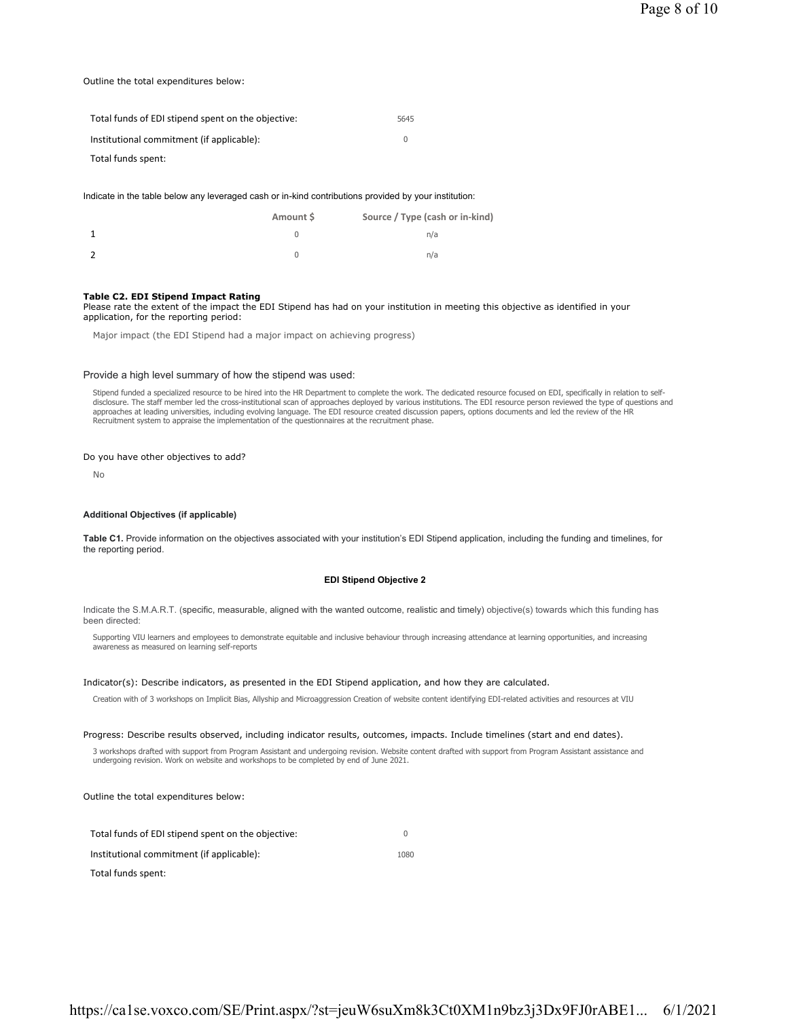# Outline the total expenditures below:

| Total funds of EDI stipend spent on the objective: | 5645 |
|----------------------------------------------------|------|
| Institutional commitment (if applicable):          |      |
| Total funds spent:                                 |      |

Indicate in the table below any leveraged cash or in-kind contributions provided by your institution:

| Amount \$ | Source / Type (cash or in-kind) |
|-----------|---------------------------------|
|           | n/a                             |
|           | n/a                             |

### **Table C2. EDI Stipend Impact Rating**

Please rate the extent of the impact the EDI Stipend has had on your institution in meeting this objective as identified in your application, for the reporting period:

Major impact (the EDI Stipend had a major impact on achieving progress)

### Provide a high level summary of how the stipend was used:

Stipend funded a specialized resource to be hired into the HR Department to complete the work. The dedicated resource focused on EDI, specifically in relation to selfdisclosure. The staff member led the cross-institutional scan of approaches deployed by various institutions. The EDI resource person reviewed the type of questions and<br>approaches at leading universities, including evolvin Recruitment system to appraise the implementation of the questionnaires at the recruitment phase.

### Do you have other objectives to add?

No

### **Additional Objectives (if applicable)**

**Table C1.** Provide information on the objectives associated with your institution's EDI Stipend application, including the funding and timelines, for the reporting period.

# **EDI Stipend Objective 2**

Indicate the S.M.A.R.T. (specific, measurable, aligned with the wanted outcome, realistic and timely) objective(s) towards which this funding has been directed:

Supporting VIU learners and employees to demonstrate equitable and inclusive behaviour through increasing attendance at learning opportunities, and increasing awareness as measured on learning self-reports

# Indicator(s): Describe indicators, as presented in the EDI Stipend application, and how they are calculated.

Creation with of 3 workshops on Implicit Bias, Allyship and Microaggression Creation of website content identifying EDI-related activities and resources at VIU

### Progress: Describe results observed, including indicator results, outcomes, impacts. Include timelines (start and end dates).

3 workshops drafted with support from Program Assistant and undergoing revision. Website content drafted with support from Program Assistant assistance and undergoing revision. Work on website and workshops to be completed by end of June 2021.

Outline the total expenditures below:

| Total funds of EDI stipend spent on the objective: |      |
|----------------------------------------------------|------|
| Institutional commitment (if applicable):          | 1080 |
| Total funds spent:                                 |      |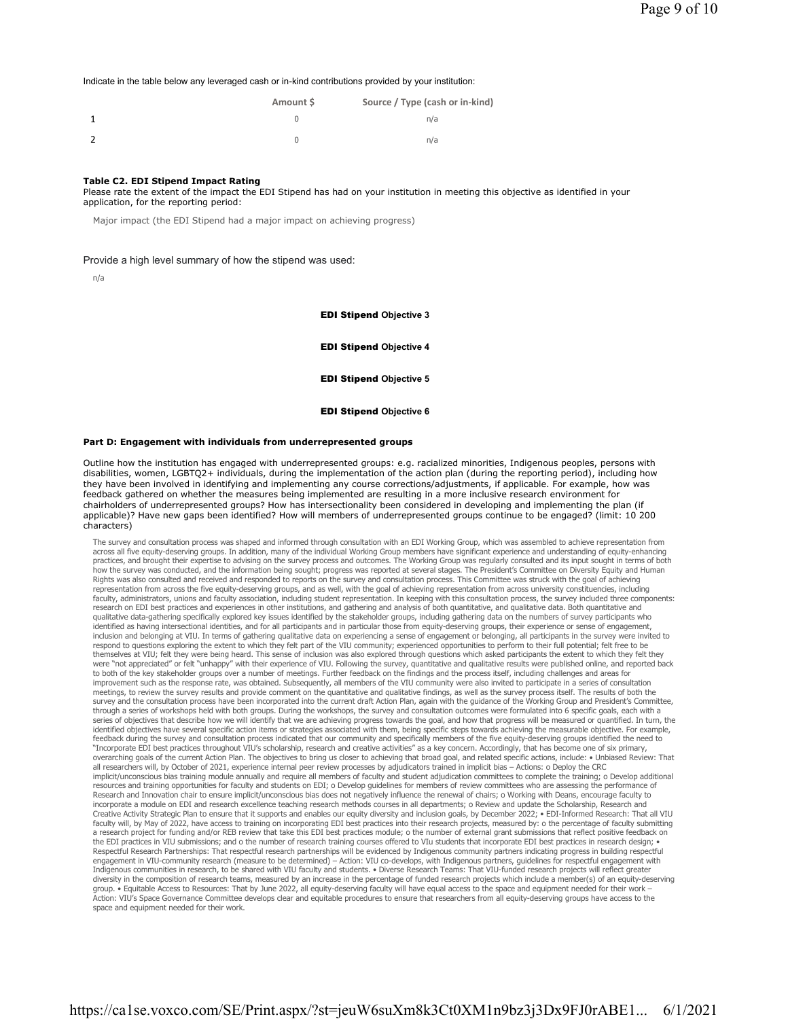Indicate in the table below any leveraged cash or in-kind contributions provided by your institution:

| Amount S | Source / Type (cash or in-kind) |
|----------|---------------------------------|
|          | n/a                             |
|          | n/a                             |

### **Table C2. EDI Stipend Impact Rating**

Please rate the extent of the impact the EDI Stipend has had on your institution in meeting this objective as identified in your application, for the reporting period:

Major impact (the EDI Stipend had a major impact on achieving progress)

Provide a high level summary of how the stipend was used:

n/a

EDI Stipend **Objective 3**

EDI Stipend **Objective 4**

EDI Stipend **Objective 5**

EDI Stipend **Objective 6**

### **Part D: Engagement with individuals from underrepresented groups**

Outline how the institution has engaged with underrepresented groups: e.g. racialized minorities, Indigenous peoples, persons with disabilities, women, LGBTQ2+ individuals, during the implementation of the action plan (during the reporting period), including how they have been involved in identifying and implementing any course corrections/adjustments, if applicable. For example, how was feedback gathered on whether the measures being implemented are resulting in a more inclusive research environment for chairholders of underrepresented groups? How has intersectionality been considered in developing and implementing the plan (if applicable)? Have new gaps been identified? How will members of underrepresented groups continue to be engaged? (limit: 10 200 characters)

The survey and consultation process was shaped and informed through consultation with an EDI Working Group, which was assembled to achieve representation from across all five equity-deserving groups. In addition, many of the individual Working Group members have significant experience and understanding of equity-enhancing<br>practices, and brought their expertise to advising on the how the survey was conducted, and the information being sought; progress was reported at several stages. The President's Committee on Diversity Equity and Human Rights was also consulted and received and responded to reports on the survey and consultation process. This Committee was struck with the goal of achieving<br>representation from across the five equity-deserving groups, and faculty, administrators, unions and faculty association, including student representation. In keeping with this consultation process, the survey included three components: research on EDI best practices and experiences in other institutions, and gathering and analysis of both quantitative, and qualitative data. Both quantitative and qualitative data-gathering specifically explored key issues identified by the stakeholder groups, including gathering data on the numbers of survey participants who identified as having intersectional identities, and for all participants and in particular those from equity-deserving groups, their experience or sense of engagement,<br>inclusion and belonging at VIU. In terms of gathering respond to questions exploring the extent to which they felt part of the VIU community; experienced opportunities to perform to their full potential; felt free to be themselves at VIU; felt they were being heard. This sense of inclusion was also explored through questions which asked participants the extent to which they felt they<br>were "not appreciated" or felt "unhappy" with their exp improvement such as the response rate, was obtained. Subsequently, all members of the VIU community were also invited to participate in a series of consultation meetings, to review the survey results and provide comment on the quantitative and qualitative findings, as well as the survey process itself. The results of both the survey and the consultation process have been incorporated into the current draft Action Plan, again with the guidance of the Working Group and President's Committee,<br>through a series of workshops held with both groups. Du series of objectives that describe how we will identify that we are achieving progress towards the goal, and how that progress will be measured or quantified. In turn, the identified objectives have several specific action items or strategies associated with them, being specific steps towards achieving the measurable objective. For example, feedback during the survey and consultation process indicated that our community and specifically members of the five equity-deserving groups identified the need to<br>"Incorporate EDI best practices throughout VIU's scholars overarching goals of the current Action Plan. The objectives to bring us closer to achieving that broad goal, and related specific actions, include: • Unbiased Review: That all researchers will, by October of 2021, experience internal peer review processes by adjudicators trained in implicit bias – Actions: o Deploy the CRC implicit/unconscious bias training module annually and require all members of faculty and student adjudication committees to complete the training; o Develop additional<br>resources and training opportunities for faculty and Research and Innovation chair to ensure implicit/unconscious bias does not negatively influence the renewal of chairs; o Working with Deans, encourage faculty to incorporate a module on EDI and research excellence teaching research methods courses in all departments; o Review and update the Scholarship, Research and Creative Activity Strategic Plan to ensure that it supports and enables our equity diversity and inclusion goals, by December 2022; • EDI-Informed Research: That all VIU faculty will, by May of 2022, have access to training on incorporating EDI best practices into their research projects, measured by: o the percentage of faculty submitting a research project for funding and/or REB review that take this EDI best practices module; o the number of external grant submissions that reflect positive feedback on the EDI practices in VIU submissions; and o the number of research training courses offered to VIu students that incorporate EDI best practices in research design; • Respectful Research Partnerships: That respectful research partnerships will be evidenced by Indigenous community partners indicating progress in building respectful<br>engagement in VIU-community research (measure to be dete Indigenous communities in research, to be shared with VIU faculty and students. • Diverse Research Teams: That VIU-funded research projects will reflect greater diversity in the composition of research teams, measured by an increase in the percentage of funded research projects which include a member(s) of an equity-deserving group. • Equitable Access to Resources: That by June 2022, all equity-deserving faculty will have equal access to the space and equipment needed for their work – Action: VIU's Space Governance Committee develops clear and equitable procedures to ensure that researchers from all equity-deserving groups have access to the space and equipment needed for their work.